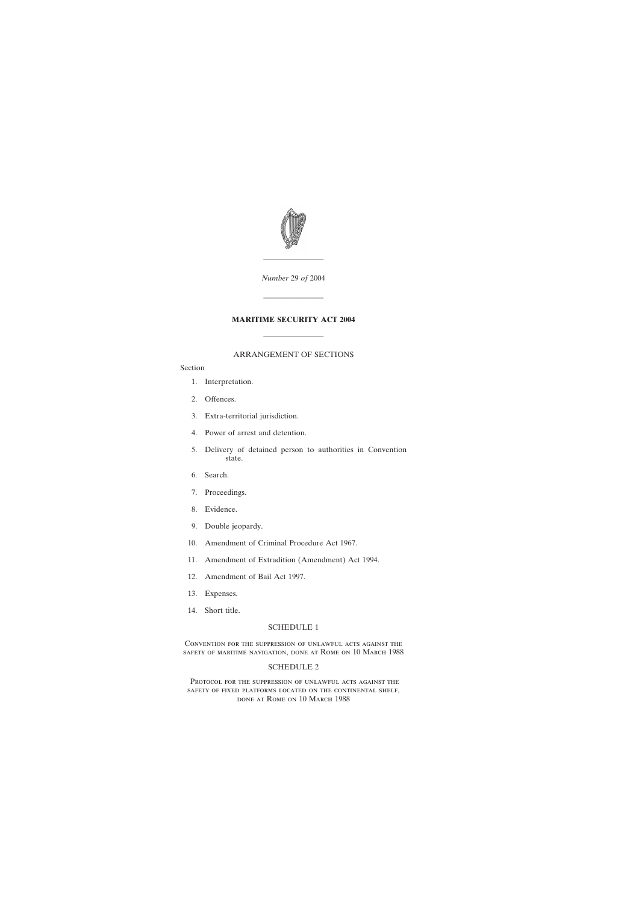

*Number* 29 *of* 2004

————————

————————

# **MARITIME SECURITY ACT 2004**

————————

# ARRANGEMENT OF SECTIONS

# Section

- [1. Interpretation.](#page-2-0)
- [2. Offences.](#page-3-0)
- [3. Extra-territorial jurisdiction.](#page-4-0)
- [4. Power of arrest and detention.](#page-4-0)
- [5. Delivery of detained person to authorities in Convention](#page-5-0) [state.](#page-5-0)
- [6. Search.](#page-6-0)
- [7. Proceedings.](#page-6-0)
- [8. Evidence.](#page-7-0)
- [9. Double jeopardy.](#page-8-0)
- [10. Amendment of Criminal Procedure Act 1967.](#page-8-0)
- [11. Amendment of Extradition \(Amendment\) Act 1994.](#page-8-0)
- [12. Amendment of Bail Act 1997.](#page-8-0)
- [13. Expenses.](#page-8-0)
- [14. Short title.](#page-8-0)

# [SCHEDULE 1](#page-9-0)

Convention for the suppression of unlawful acts against the safety of maritime navigation, done at Rome on 10 March 1988

# [SCHEDULE 2](#page-19-0)

Protocol for the suppression of unlawful acts against the safety of fixed platforms located on the continental shelf, done at Rome on 10 March 1988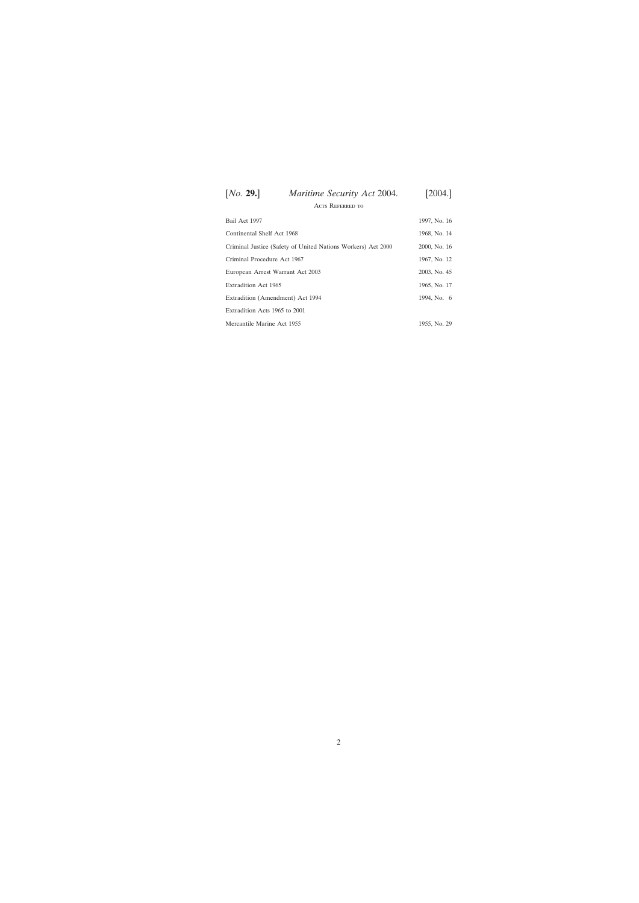| [ <i>No.</i> 29.]                                            | Maritime Security Act 2004. | [2004.]      |
|--------------------------------------------------------------|-----------------------------|--------------|
|                                                              | <b>ACTS REFERRED TO</b>     |              |
| Bail Act 1997                                                |                             | 1997, No. 16 |
| Continental Shelf Act 1968                                   |                             | 1968, No. 14 |
| Criminal Justice (Safety of United Nations Workers) Act 2000 |                             | 2000, No. 16 |
| Criminal Procedure Act 1967                                  |                             | 1967, No. 12 |
| European Arrest Warrant Act 2003                             |                             | 2003, No. 45 |
| Extradition Act 1965                                         |                             | 1965, No. 17 |
| Extradition (Amendment) Act 1994                             |                             | 1994, No. 6  |
| Extradition Acts 1965 to 2001                                |                             |              |
| Mercantile Marine Act 1955                                   |                             | 1955, No. 29 |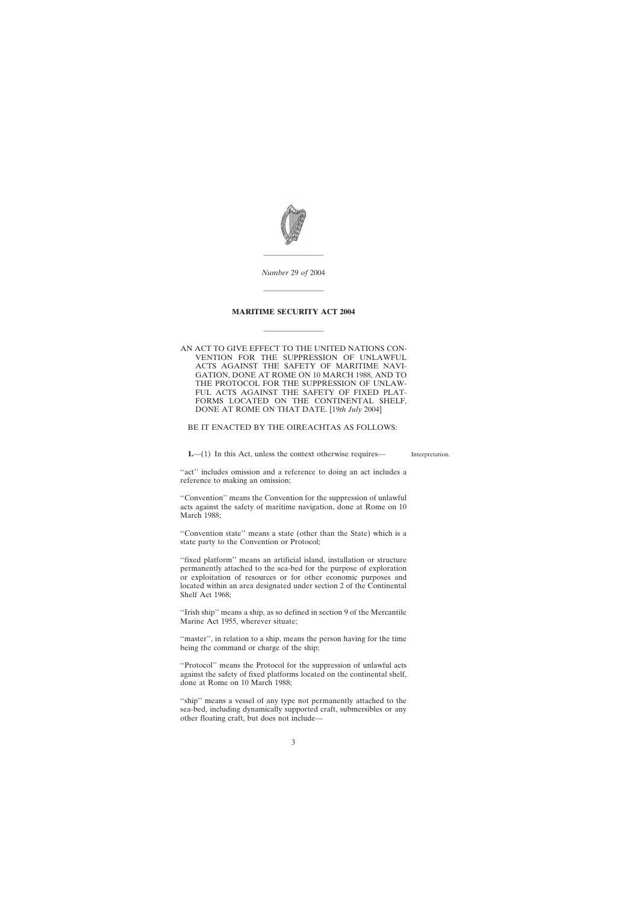<span id="page-2-0"></span>

*Number* 29 *of* 2004

————————

————————

## **MARITIME SECURITY ACT 2004**

————————

AN ACT TO GIVE EFFECT TO THE UNITED NATIONS CON-VENTION FOR THE SUPPRESSION OF UNLAWFUL ACTS AGAINST THE SAFETY OF MARITIME NAVI-GATION, DONE AT ROME ON 10 MARCH 1988, AND TO THE PROTOCOL FOR THE SUPPRESSION OF UNLAW-FUL ACTS AGAINST THE SAFETY OF FIXED PLAT-FORMS LOCATED ON THE CONTINENTAL SHELF, DONE AT ROME ON THAT DATE. [19*th July* 2004]

# BE IT ENACTED BY THE OIREACHTAS AS FOLLOWS:

**1.**—(1) In this Act, unless the context otherwise requires—

Interpretation.

"act" includes omission and a reference to doing an act includes a reference to making an omission;

''Convention'' means the Convention for the suppression of unlawful acts against the safety of maritime navigation, done at Rome on 10 March 1988;

''Convention state'' means a state (other than the State) which is a state party to the Convention or Protocol;

"fixed platform" means an artificial island, installation or structure permanently attached to the sea-bed for the purpose of exploration or exploitation of resources or for other economic purposes and located within an area designated under section 2 of the Continental Shelf Act 1968;

''Irish ship'' means a ship, as so defined in section 9 of the Mercantile Marine Act 1955, wherever situate;

"master", in relation to a ship, means the person having for the time being the command or charge of the ship;

''Protocol'' means the Protocol for the suppression of unlawful acts against the safety of fixed platforms located on the continental shelf, done at Rome on 10 March 1988;

"ship" means a vessel of any type not permanently attached to the sea-bed, including dynamically supported craft, submersibles or any other floating craft, but does not include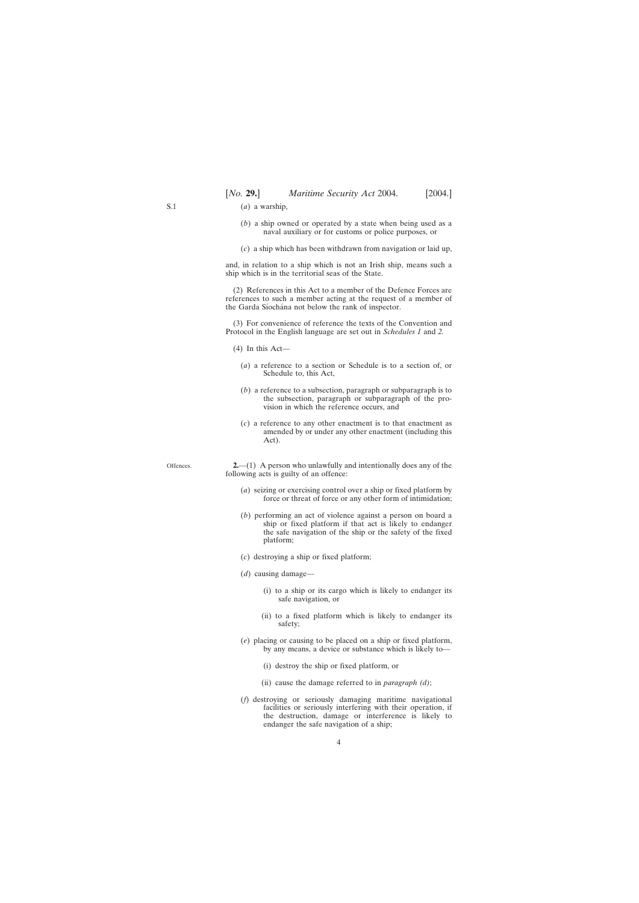<span id="page-3-0"></span>S.1

- (*a*) a warship,
- (*b*) a ship owned or operated by a state when being used as a naval auxiliary or for customs or police purposes, or
- (*c*) a ship which has been withdrawn from navigation or laid up,

and, in relation to a ship which is not an Irish ship, means such a ship which is in the territorial seas of the State.

(2) References in this Act to a member of the Defence Forces are references to such a member acting at the request of a member of the Garda Síochána not below the rank of inspector.

(3) For convenience of reference the texts of the Convention and Protocol in the English language are set out in *Schedules 1* and *2.*

- (4) In this Act—
	- (*a*) a reference to a section or Schedule is to a section of, or Schedule to, this Act,
	- (*b*) a reference to a subsection, paragraph or subparagraph is to the subsection, paragraph or subparagraph of the provision in which the reference occurs, and
	- (*c*) a reference to any other enactment is to that enactment as amended by or under any other enactment (including this Act).

Offences.

**2.**—(1) A person who unlawfully and intentionally does any of the following acts is guilty of an offence:

- (*a*) seizing or exercising control over a ship or fixed platform by force or threat of force or any other form of intimidation;
- (*b*) performing an act of violence against a person on board a ship or fixed platform if that act is likely to endanger the safe navigation of the ship or the safety of the fixed platform;
- (*c*) destroying a ship or fixed platform;
- (*d*) causing damage—
	- (i) to a ship or its cargo which is likely to endanger its safe navigation, or
	- (ii) to a fixed platform which is likely to endanger its safety;
- (*e*) placing or causing to be placed on a ship or fixed platform, by any means, a device or substance which is likely to—
	- (i) destroy the ship or fixed platform, or
	- (ii) cause the damage referred to in *paragraph (d)*;
- (*f*) destroying or seriously damaging maritime navigational facilities or seriously interfering with their operation, if the destruction, damage or interference is likely to endanger the safe navigation of a ship;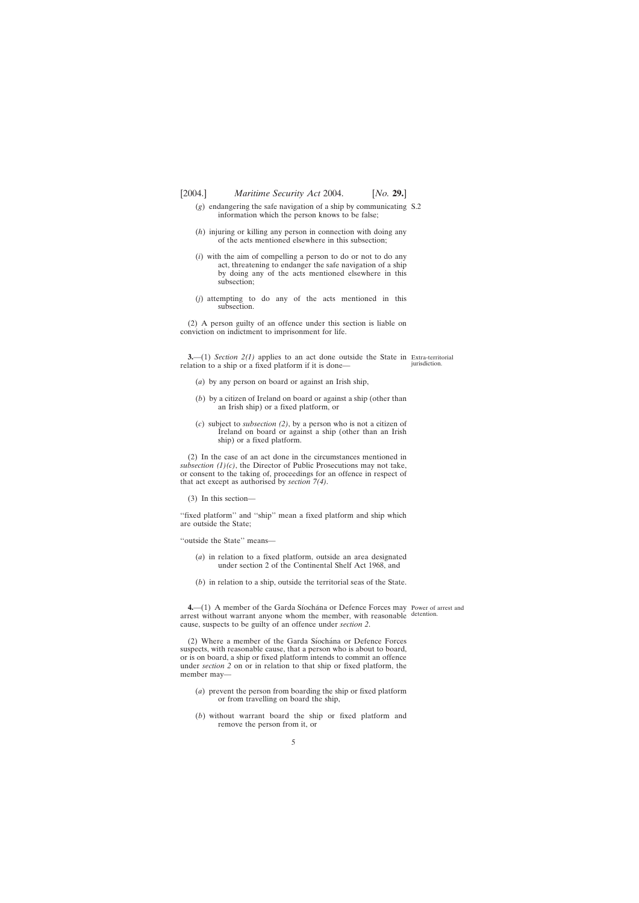<span id="page-4-0"></span>

- (*g*) endangering the safe navigation of a ship by communicating S.2 information which the person knows to be false;
- (*h*) injuring or killing any person in connection with doing any of the acts mentioned elsewhere in this subsection;
- (*i*) with the aim of compelling a person to do or not to do any act, threatening to endanger the safe navigation of a ship by doing any of the acts mentioned elsewhere in this subsection;
- (*j*) attempting to do any of the acts mentioned in this subsection.

(2) A person guilty of an offence under this section is liable on conviction on indictment to imprisonment for life.

**3.**—(1) *Section 2(1)* applies to an act done outside the State in Extra-territorial relation to a ship or a fixed platform if it is done—

jurisdiction.

- (*a*) by any person on board or against an Irish ship,
- (*b*) by a citizen of Ireland on board or against a ship (other than an Irish ship) or a fixed platform, or
- (*c*) subject to *subsection (2)*, by a person who is not a citizen of Ireland on board or against a ship (other than an Irish ship) or a fixed platform.

(2) In the case of an act done in the circumstances mentioned in *subsection*  $(1)(c)$ , the Director of Public Prosecutions may not take, or consent to the taking of, proceedings for an offence in respect of that act except as authorised by *section 7(4)*.

(3) In this section—

"fixed platform" and "ship" mean a fixed platform and ship which are outside the State;

''outside the State'' means—

- (*a*) in relation to a fixed platform, outside an area designated under section 2 of the Continental Shelf Act 1968, and
- (*b*) in relation to a ship, outside the territorial seas of the State.

**4.**—(1) A member of the Garda Síochána or Defence Forces may Power of arrest and arrest without warrant anyone whom the member, with reasonable detention. cause, suspects to be guilty of an offence under *section 2*.

(2) Where a member of the Garda Síochána or Defence Forces suspects, with reasonable cause, that a person who is about to board, or is on board, a ship or fixed platform intends to commit an offence under *section 2* on or in relation to that ship or fixed platform, the member may—

- (*a*) prevent the person from boarding the ship or fixed platform or from travelling on board the ship,
- (*b*) without warrant board the ship or fixed platform and remove the person from it, or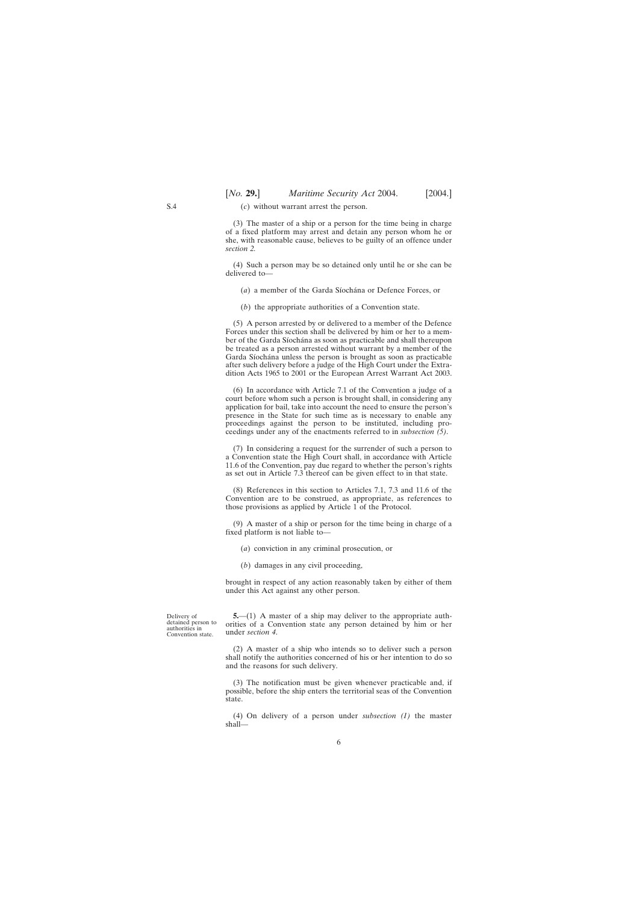# <span id="page-5-0"></span>(*c*) without warrant arrest the person.

(3) The master of a ship or a person for the time being in charge of a fixed platform may arrest and detain any person whom he or she, with reasonable cause, believes to be guilty of an offence under *section 2.*

(4) Such a person may be so detained only until he or she can be delivered to—

(*a*) a member of the Garda Síochána or Defence Forces, or

(*b*) the appropriate authorities of a Convention state.

(5) A person arrested by or delivered to a member of the Defence Forces under this section shall be delivered by him or her to a member of the Garda Síochána as soon as practicable and shall thereupon be treated as a person arrested without warrant by a member of the Garda Síochána unless the person is brought as soon as practicable after such delivery before a judge of the High Court under the Extradition Acts 1965 to 2001 or the European Arrest Warrant Act 2003.

(6) In accordance with Article 7.1 of the Convention a judge of a court before whom such a person is brought shall, in considering any application for bail, take into account the need to ensure the person's presence in the State for such time as is necessary to enable any proceedings against the person to be instituted, including proceedings under any of the enactments referred to in *subsection (5)*.

(7) In considering a request for the surrender of such a person to a Convention state the High Court shall, in accordance with Article 11.6 of the Convention, pay due regard to whether the person's rights as set out in Article 7.3 thereof can be given effect to in that state.

(8) References in this section to Articles 7.1, 7.3 and 11.6 of the Convention are to be construed, as appropriate, as references to those provisions as applied by Article 1 of the Protocol.

(9) A master of a ship or person for the time being in charge of a fixed platform is not liable to—

(*a*) conviction in any criminal prosecution, or

(*b*) damages in any civil proceeding,

brought in respect of any action reasonably taken by either of them under this Act against any other person.

Delivery of detained person to authorities in Convention state.

**5.**—(1) A master of a ship may deliver to the appropriate authorities of a Convention state any person detained by him or her under *section 4*.

(2) A master of a ship who intends so to deliver such a person shall notify the authorities concerned of his or her intention to do so and the reasons for such delivery.

(3) The notification must be given whenever practicable and, if possible, before the ship enters the territorial seas of the Convention state.

(4) On delivery of a person under *subsection (1)* the master shall—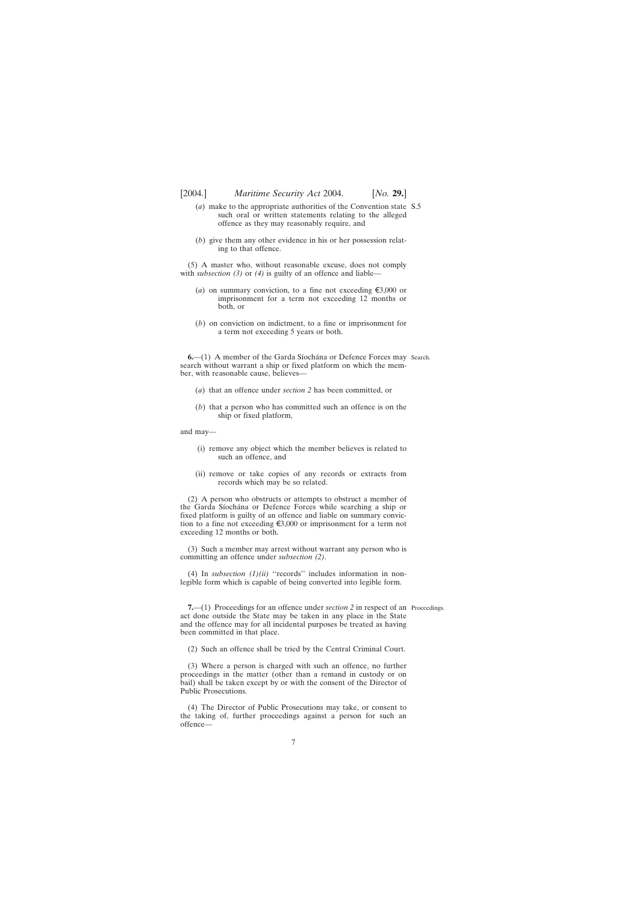<span id="page-6-0"></span>

- (*a*) make to the appropriate authorities of the Convention state S.5 such oral or written statements relating to the alleged offence as they may reasonably require, and
- (*b*) give them any other evidence in his or her possession relating to that offence.

(5) A master who, without reasonable excuse, does not comply with *subsection (3)* or (4) is guilty of an offence and liable-

- (*a*) on summary conviction, to a fine not exceeding  $\epsilon$ 3,000 or imprisonment for a term not exceeding 12 months or both, or
- (*b*) on conviction on indictment, to a fine or imprisonment for a term not exceeding 5 years or both.

**6.**—(1) A member of the Garda Síochána or Defence Forces may Search. search without warrant a ship or fixed platform on which the member, with reasonable cause, believes—

- (*a*) that an offence under *section 2* has been committed, or
- (*b*) that a person who has committed such an offence is on the ship or fixed platform,

and may—

- (i) remove any object which the member believes is related to such an offence, and
- (ii) remove or take copies of any records or extracts from records which may be so related.

(2) A person who obstructs or attempts to obstruct a member of the Garda Síochána or Defence Forces while searching a ship or fixed platform is guilty of an offence and liable on summary conviction to a fine not exceeding  $\xi$ 3,000 or imprisonment for a term not exceeding 12 months or both.

(3) Such a member may arrest without warrant any person who is committing an offence under *subsection (2)*.

(4) In *subsection*  $(1)(ii)$  "records" includes information in nonlegible form which is capable of being converted into legible form.

**7.**—(1) Proceedings for an offence under *section 2* in respect of an Proceedings.act done outside the State may be taken in any place in the State and the offence may for all incidental purposes be treated as having been committed in that place.

(2) Such an offence shall be tried by the Central Criminal Court.

(3) Where a person is charged with such an offence, no further proceedings in the matter (other than a remand in custody or on bail) shall be taken except by or with the consent of the Director of Public Prosecutions.

(4) The Director of Public Prosecutions may take, or consent to the taking of, further proceedings against a person for such an offence—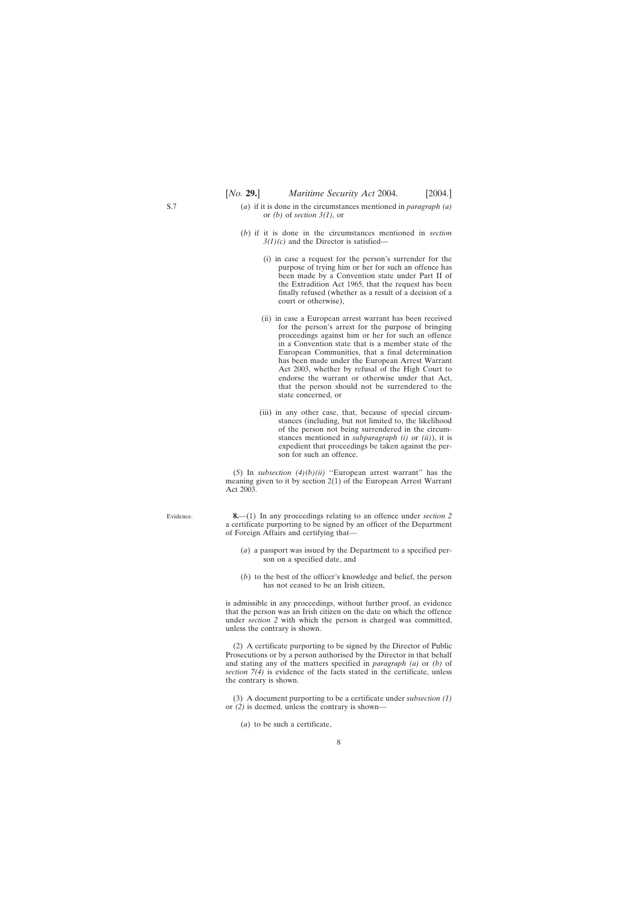- (*a*) if it is done in the circumstances mentioned in *paragraph (a)* or *(b)* of *section 3(1)*, or
- (*b*) if it is done in the circumstances mentioned in *section 3(1)(c)* and the Director is satisfied—
	- (i) in case a request for the person's surrender for the purpose of trying him or her for such an offence has been made by a Convention state under Part II of the Extradition Act 1965, that the request has been finally refused (whether as a result of a decision of a court or otherwise),
	- (ii) in case a European arrest warrant has been received for the person's arrest for the purpose of bringing proceedings against him or her for such an offence in a Convention state that is a member state of the European Communities, that a final determination has been made under the European Arrest Warrant Act 2003, whether by refusal of the High Court to endorse the warrant or otherwise under that Act, that the person should not be surrendered to the state concerned, or
	- (iii) in any other case, that, because of special circumstances (including, but not limited to, the likelihood of the person not being surrendered in the circumstances mentioned in *subparagraph (i)* or *(ii)*), it is expedient that proceedings be taken against the person for such an offence.

(5) In *subsection (4)(b)(ii)* ''European arrest warrant'' has the meaning given to it by section 2(1) of the European Arrest Warrant Act 2003.

**8.**—(1) In any proceedings relating to an offence under *section 2* a certificate purporting to be signed by an officer of the Department of Foreign Affairs and certifying that—

- (*a*) a passport was issued by the Department to a specified person on a specified date, and
- (*b*) to the best of the officer's knowledge and belief, the person has not ceased to be an Irish citizen,

is admissible in any proceedings, without further proof, as evidence that the person was an Irish citizen on the date on which the offence under *section 2* with which the person is charged was committed, unless the contrary is shown.

(2) A certificate purporting to be signed by the Director of Public Prosecutions or by a person authorised by the Director in that behalf and stating any of the matters specified in *paragraph (a)* or *(b)* of *section 7(4)* is evidence of the facts stated in the certificate, unless the contrary is shown.

(3) A document purporting to be a certificate under *subsection (1)* or *(2)* is deemed, unless the contrary is shown—

(*a*) to be such a certificate,

Evidence.

<span id="page-7-0"></span>S.7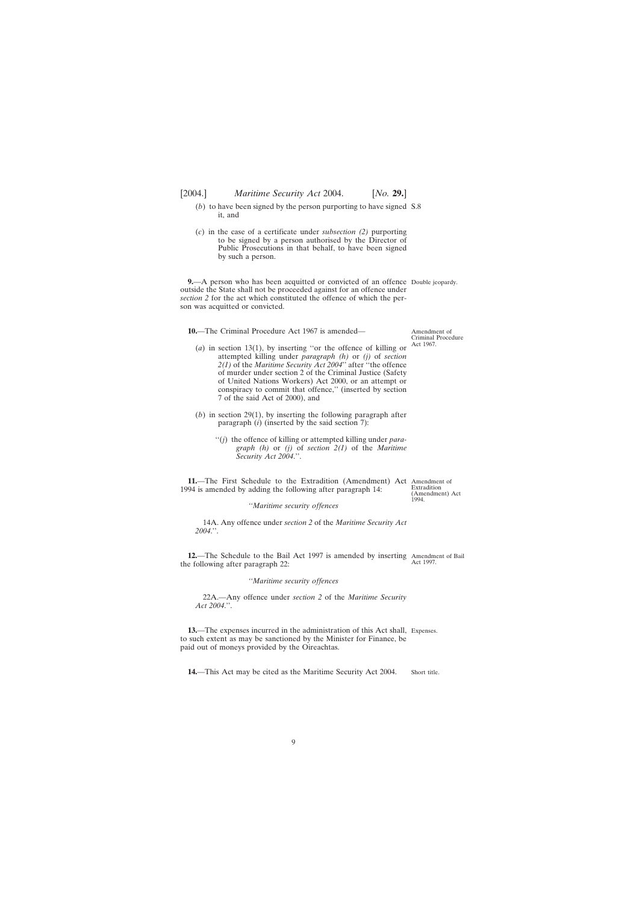<span id="page-8-0"></span>[2004.] *Maritime Security Act* 2004. [*No.* **29.**]

- (*b*) to have been signed by the person purporting to have signed S.8 it, and
- (*c*) in the case of a certificate under *subsection (2)* purporting to be signed by a person authorised by the Director of Public Prosecutions in that behalf, to have been signed by such a person.

**9.**—A person who has been acquitted or convicted of an offence Double jeopardy. outside the State shall not be proceeded against for an offence under *section 2* for the act which constituted the offence of which the person was acquitted or convicted.

**10.**—The Criminal Procedure Act 1967 is amended—

- (*a*) in section 13(1), by inserting ''or the offence of killing or attempted killing under *paragraph (h)* or *(j)* of *section 2(1)* of the *Maritime Security Act 2004*'' after ''the offence of murder under section 2 of the Criminal Justice (Safety of United Nations Workers) Act 2000, or an attempt or conspiracy to commit that offence,'' (inserted by section 7 of the said Act of 2000), and
- (*b*) in section 29(1), by inserting the following paragraph after paragraph (*i*) (inserted by the said section 7):
	- ''(*j*) the offence of killing or attempted killing under *paragraph (h)* or *(j)* of *section 2(1)* of the *Maritime Security Act 2004*.''.

**11.**—The First Schedule to the Extradition (Amendment) Act Amendment of 1994 is amended by adding the following after paragraph 14:

Extradition (Amendment) Act 1994.

*''Maritime security offences*

14A. Any offence under *section 2* of the *Maritime Security Act 2004*.''.

**12.**—The Schedule to the Bail Act 1997 is amended by inserting Amendment of Bail the following after paragraph 22: Act 1997.

*''Maritime security offences*

22A.—Any offence under *section 2* of the *Maritime Security Act 2004*.''.

**13.**—The expenses incurred in the administration of this Act shall, Expenses. to such extent as may be sanctioned by the Minister for Finance, be paid out of moneys provided by the Oireachtas.

**14.**—This Act may be cited as the Maritime Security Act 2004. Short title.

Amendment of Criminal Procedure Act 1967.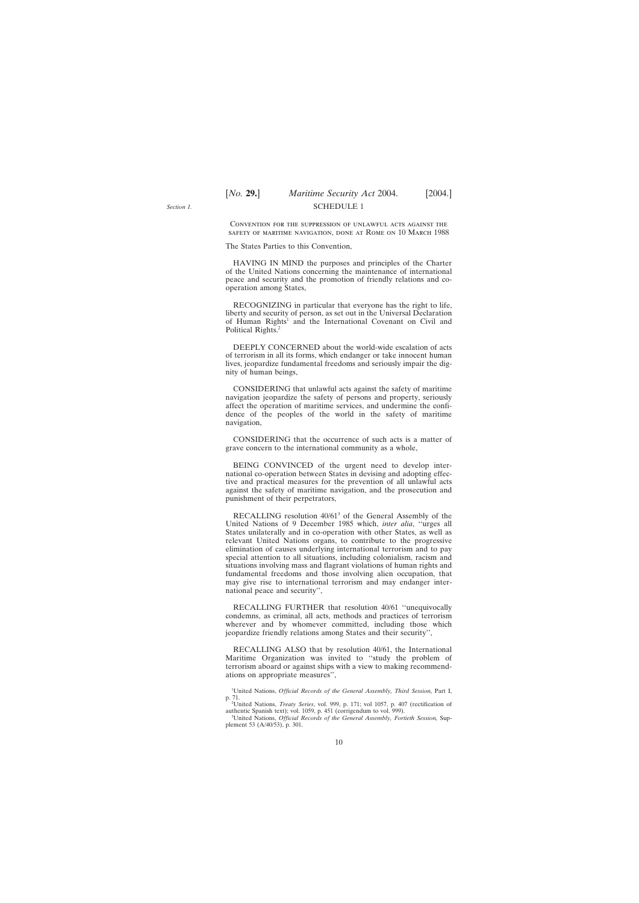<span id="page-9-0"></span>*Section 1.*

Convention for the suppression of unlawful acts against the safety of maritime navigation, done at Rome on 10 March 1988

The States Parties to this Convention,

HAVING IN MIND the purposes and principles of the Charter of the United Nations concerning the maintenance of international peace and security and the promotion of friendly relations and cooperation among States,

RECOGNIZING in particular that everyone has the right to life, liberty and security of person, as set out in the Universal Declaration of Human Rights<sup>1</sup> and the International Covenant on Civil and Political Rights.<sup>2</sup>

DEEPLY CONCERNED about the world-wide escalation of acts of terrorism in all its forms, which endanger or take innocent human lives, jeopardize fundamental freedoms and seriously impair the dignity of human beings,

CONSIDERING that unlawful acts against the safety of maritime navigation jeopardize the safety of persons and property, seriously affect the operation of maritime services, and undermine the confidence of the peoples of the world in the safety of maritime navigation,

CONSIDERING that the occurrence of such acts is a matter of grave concern to the international community as a whole,

BEING CONVINCED of the urgent need to develop international co-operation between States in devising and adopting effective and practical measures for the prevention of all unlawful acts against the safety of maritime navigation, and the prosecution and punishment of their perpetrators,

RECALLING resolution 40/613 of the General Assembly of the United Nations of 9 December 1985 which, *inter alia*, ''urges all States unilaterally and in co-operation with other States, as well as relevant United Nations organs, to contribute to the progressive elimination of causes underlying international terrorism and to pay special attention to all situations, including colonialism, racism and situations involving mass and flagrant violations of human rights and fundamental freedoms and those involving alien occupation, that may give rise to international terrorism and may endanger international peace and security'',

RECALLING FURTHER that resolution 40/61 ''unequivocally condemns, as criminal, all acts, methods and practices of terrorism wherever and by whomever committed, including those which jeopardize friendly relations among States and their security'',

RECALLING ALSO that by resolution 40/61, the International Maritime Organization was invited to ''study the problem of terrorism aboard or against ships with a view to making recommendations on appropriate measures'',

<sup>1</sup> United Nations, *Official Records of the General Assembly, Third Session,* Part I, p. 71. 2 United Nations, *Treaty Series*, vol. 999, p. 171; vol 1057, p. 407 (rectification of

authentic Spanish text); vol. 1059, p. 451 (corrigendum to vol. 999).<br><sup>3</sup>United Nations, *Official Records of the General Assembly, Fortieth Session*, Sup-

plement 53 (A/40/53), p. 301.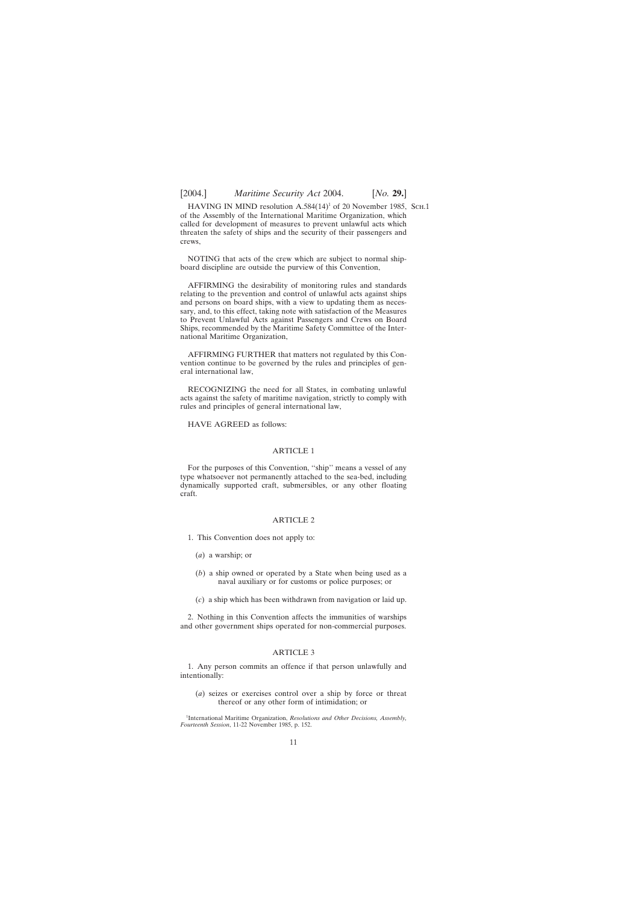# [2004.] *Maritime Security Act* 2004. [*No.* **29.**]

HAVING IN MIND resolution  $A.584(14)^1$  of 20 November 1985, Sch.1 of the Assembly of the International Maritime Organization, which called for development of measures to prevent unlawful acts which threaten the safety of ships and the security of their passengers and crews,

NOTING that acts of the crew which are subject to normal shipboard discipline are outside the purview of this Convention,

AFFIRMING the desirability of monitoring rules and standards relating to the prevention and control of unlawful acts against ships and persons on board ships, with a view to updating them as necessary, and, to this effect, taking note with satisfaction of the Measures to Prevent Unlawful Acts against Passengers and Crews on Board Ships, recommended by the Maritime Safety Committee of the International Maritime Organization,

AFFIRMING FURTHER that matters not regulated by this Convention continue to be governed by the rules and principles of general international law,

RECOGNIZING the need for all States, in combating unlawful acts against the safety of maritime navigation, strictly to comply with rules and principles of general international law,

HAVE AGREED as follows:

# ARTICLE 1

For the purposes of this Convention, ''ship'' means a vessel of any type whatsoever not permanently attached to the sea-bed, including dynamically supported craft, submersibles, or any other floating craft.

#### ARTICLE 2

1. This Convention does not apply to:

- (*a*) a warship; or
- (*b*) a ship owned or operated by a State when being used as a naval auxiliary or for customs or police purposes; or
- (*c*) a ship which has been withdrawn from navigation or laid up.

2. Nothing in this Convention affects the immunities of warships and other government ships operated for non-commercial purposes.

#### ARTICLE 3

1. Any person commits an offence if that person unlawfully and intentionally:

(*a*) seizes or exercises control over a ship by force or threat thereof or any other form of intimidation; or

<sup>1</sup>International Maritime Organization, *Resolutions and Other Decisions, Assembly, Fourteenth Session*, 11-22 November 1985, p. 152.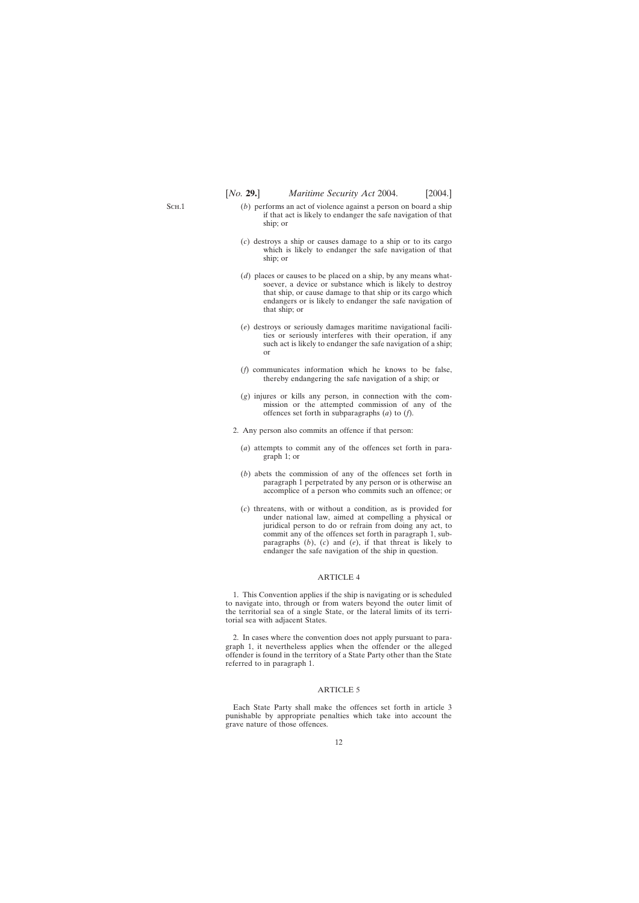SCH.1

- (*b*) performs an act of violence against a person on board a ship if that act is likely to endanger the safe navigation of that ship; or
- (*c*) destroys a ship or causes damage to a ship or to its cargo which is likely to endanger the safe navigation of that ship; or
- (*d*) places or causes to be placed on a ship, by any means whatsoever, a device or substance which is likely to destroy that ship, or cause damage to that ship or its cargo which endangers or is likely to endanger the safe navigation of that ship; or
- (*e*) destroys or seriously damages maritime navigational facilities or seriously interferes with their operation, if any such act is likely to endanger the safe navigation of a ship; or
- (*f*) communicates information which he knows to be false, thereby endangering the safe navigation of a ship; or
- (*g*) injures or kills any person, in connection with the commission or the attempted commission of any of the offences set forth in subparagraphs (*a*) to (*f*).
- 2. Any person also commits an offence if that person:
	- (*a*) attempts to commit any of the offences set forth in paragraph 1; or
	- (*b*) abets the commission of any of the offences set forth in paragraph 1 perpetrated by any person or is otherwise an accomplice of a person who commits such an offence; or
	- (*c*) threatens, with or without a condition, as is provided for under national law, aimed at compelling a physical or juridical person to do or refrain from doing any act, to commit any of the offences set forth in paragraph 1, subparagraphs (*b*), (*c*) and (*e*), if that threat is likely to endanger the safe navigation of the ship in question.

#### ARTICLE 4

1. This Convention applies if the ship is navigating or is scheduled to navigate into, through or from waters beyond the outer limit of the territorial sea of a single State, or the lateral limits of its territorial sea with adjacent States.

2. In cases where the convention does not apply pursuant to paragraph 1, it nevertheless applies when the offender or the alleged offender is found in the territory of a State Party other than the State referred to in paragraph 1.

# ARTICLE 5

Each State Party shall make the offences set forth in article 3 punishable by appropriate penalties which take into account the grave nature of those offences.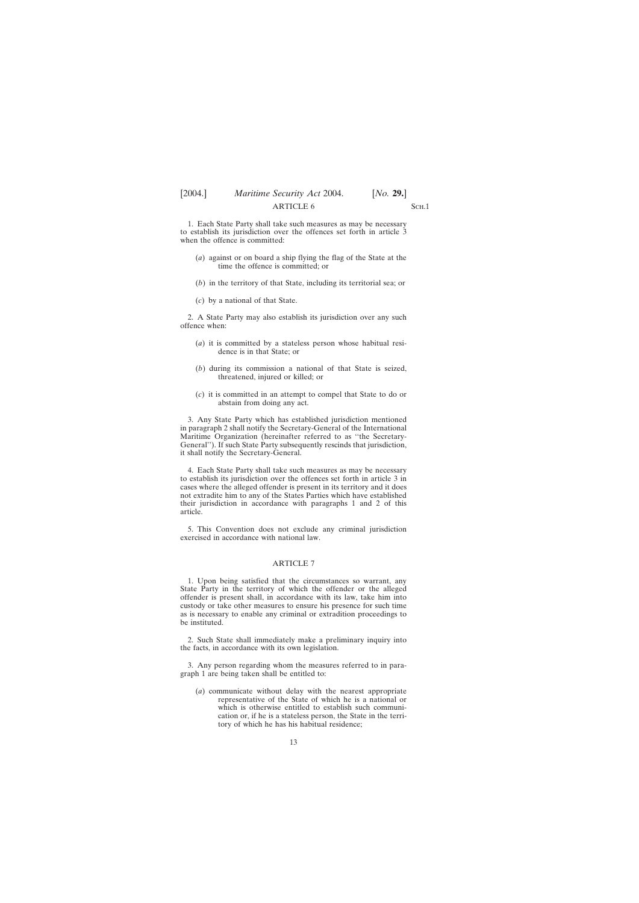S<sub>CH.1</sub>

1. Each State Party shall take such measures as may be necessary to establish its jurisdiction over the offences set forth in article 3 when the offence is committed:

- (*a*) against or on board a ship flying the flag of the State at the time the offence is committed; or
- (*b*) in the territory of that State, including its territorial sea; or
- (*c*) by a national of that State.

2. A State Party may also establish its jurisdiction over any such offence when:

- (*a*) it is committed by a stateless person whose habitual residence is in that State; or
- (*b*) during its commission a national of that State is seized, threatened, injured or killed; or
- (*c*) it is committed in an attempt to compel that State to do or abstain from doing any act.

3. Any State Party which has established jurisdiction mentioned in paragraph 2 shall notify the Secretary-General of the International Maritime Organization (hereinafter referred to as ''the Secretary-General''). If such State Party subsequently rescinds that jurisdiction, it shall notify the Secretary-General.

4. Each State Party shall take such measures as may be necessary to establish its jurisdiction over the offences set forth in article 3 in cases where the alleged offender is present in its territory and it does not extradite him to any of the States Parties which have established their jurisdiction in accordance with paragraphs 1 and 2 of this article.

5. This Convention does not exclude any criminal jurisdiction exercised in accordance with national law.

# ARTICLE 7

1. Upon being satisfied that the circumstances so warrant, any State Party in the territory of which the offender or the alleged offender is present shall, in accordance with its law, take him into custody or take other measures to ensure his presence for such time as is necessary to enable any criminal or extradition proceedings to be instituted.

2. Such State shall immediately make a preliminary inquiry into the facts, in accordance with its own legislation.

3. Any person regarding whom the measures referred to in paragraph 1 are being taken shall be entitled to:

(*a*) communicate without delay with the nearest appropriate representative of the State of which he is a national or which is otherwise entitled to establish such communication or, if he is a stateless person, the State in the territory of which he has his habitual residence;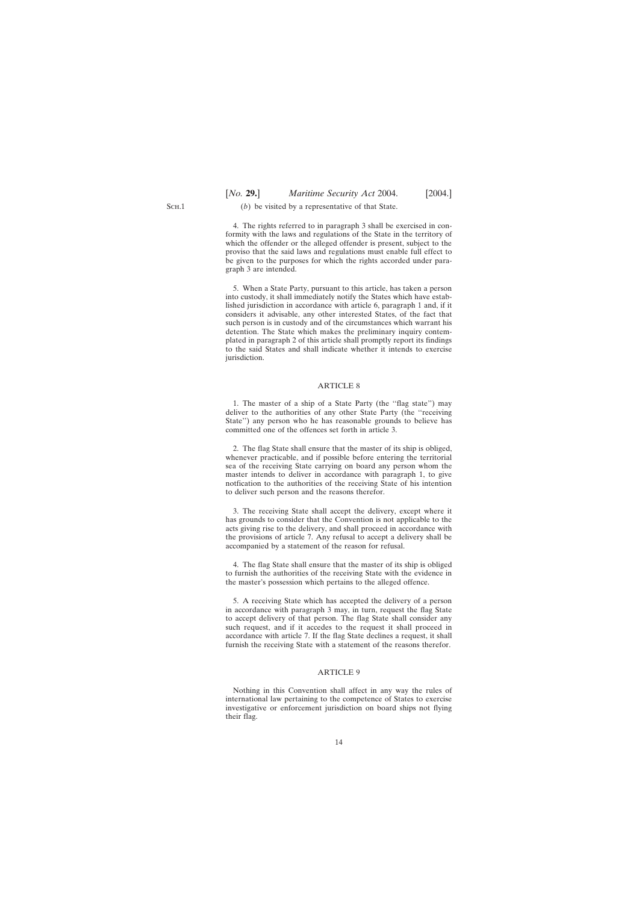S<sub>CH</sub><sub>1</sub>

#### (*b*) be visited by a representative of that State.

4. The rights referred to in paragraph 3 shall be exercised in conformity with the laws and regulations of the State in the territory of which the offender or the alleged offender is present, subject to the proviso that the said laws and regulations must enable full effect to be given to the purposes for which the rights accorded under paragraph 3 are intended.

5. When a State Party, pursuant to this article, has taken a person into custody, it shall immediately notify the States which have established jurisdiction in accordance with article 6, paragraph 1 and, if it considers it advisable, any other interested States, of the fact that such person is in custody and of the circumstances which warrant his detention. The State which makes the preliminary inquiry contemplated in paragraph 2 of this article shall promptly report its findings to the said States and shall indicate whether it intends to exercise jurisdiction.

#### ARTICLE 8

1. The master of a ship of a State Party (the ''flag state'') may deliver to the authorities of any other State Party (the ''receiving State'') any person who he has reasonable grounds to believe has committed one of the offences set forth in article 3.

2. The flag State shall ensure that the master of its ship is obliged, whenever practicable, and if possible before entering the territorial sea of the receiving State carrying on board any person whom the master intends to deliver in accordance with paragraph 1, to give notfication to the authorities of the receiving State of his intention to deliver such person and the reasons therefor.

3. The receiving State shall accept the delivery, except where it has grounds to consider that the Convention is not applicable to the acts giving rise to the delivery, and shall proceed in accordance with the provisions of article 7. Any refusal to accept a delivery shall be accompanied by a statement of the reason for refusal.

4. The flag State shall ensure that the master of its ship is obliged to furnish the authorities of the receiving State with the evidence in the master's possession which pertains to the alleged offence.

5. A receiving State which has accepted the delivery of a person in accordance with paragraph 3 may, in turn, request the flag State to accept delivery of that person. The flag State shall consider any such request, and if it accedes to the request it shall proceed in accordance with article 7. If the flag State declines a request, it shall furnish the receiving State with a statement of the reasons therefor.

#### ARTICLE 9

Nothing in this Convention shall affect in any way the rules of international law pertaining to the competence of States to exercise investigative or enforcement jurisdiction on board ships not flying their flag.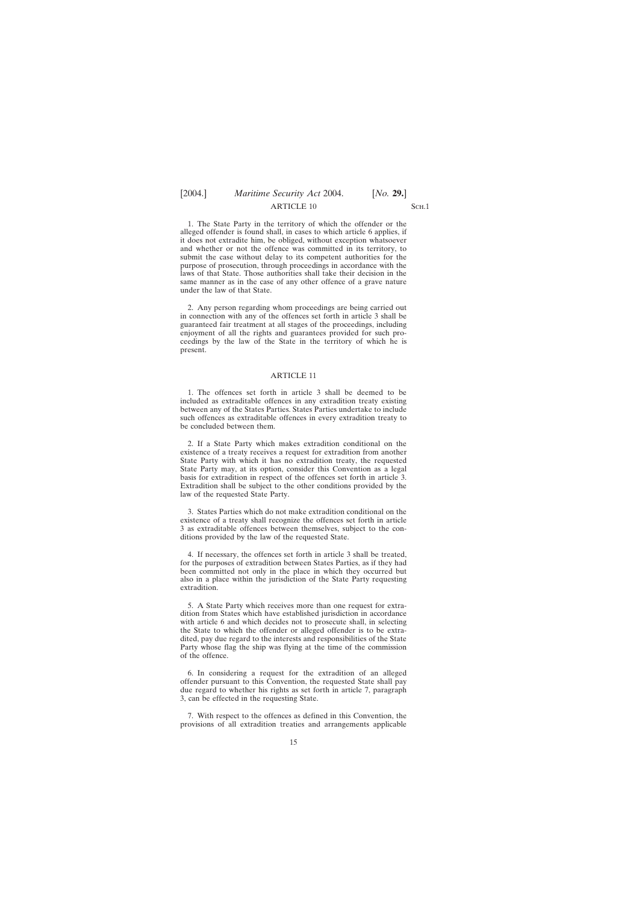S<sub>CH.1</sub>

1. The State Party in the territory of which the offender or the alleged offender is found shall, in cases to which article 6 applies, if it does not extradite him, be obliged, without exception whatsoever and whether or not the offence was committed in its territory, to submit the case without delay to its competent authorities for the purpose of prosecution, through proceedings in accordance with the laws of that State. Those authorities shall take their decision in the same manner as in the case of any other offence of a grave nature under the law of that State.

2. Any person regarding whom proceedings are being carried out in connection with any of the offences set forth in article 3 shall be guaranteed fair treatment at all stages of the proceedings, including enjoyment of all the rights and guarantees provided for such proceedings by the law of the State in the territory of which he is present.

#### ARTICLE 11

1. The offences set forth in article 3 shall be deemed to be included as extraditable offences in any extradition treaty existing between any of the States Parties. States Parties undertake to include such offences as extraditable offences in every extradition treaty to be concluded between them.

2. If a State Party which makes extradition conditional on the existence of a treaty receives a request for extradition from another State Party with which it has no extradition treaty, the requested State Party may, at its option, consider this Convention as a legal basis for extradition in respect of the offences set forth in article 3. Extradition shall be subject to the other conditions provided by the law of the requested State Party.

3. States Parties which do not make extradition conditional on the existence of a treaty shall recognize the offences set forth in article 3 as extraditable offences between themselves, subject to the conditions provided by the law of the requested State.

4. If necessary, the offences set forth in article 3 shall be treated, for the purposes of extradition between States Parties, as if they had been committed not only in the place in which they occurred but also in a place within the jurisdiction of the State Party requesting extradition.

5. A State Party which receives more than one request for extradition from States which have established jurisdiction in accordance with article 6 and which decides not to prosecute shall, in selecting the State to which the offender or alleged offender is to be extradited, pay due regard to the interests and responsibilities of the State Party whose flag the ship was flying at the time of the commission of the offence.

6. In considering a request for the extradition of an alleged offender pursuant to this Convention, the requested State shall pay due regard to whether his rights as set forth in article 7, paragraph 3, can be effected in the requesting State.

7. With respect to the offences as defined in this Convention, the provisions of all extradition treaties and arrangements applicable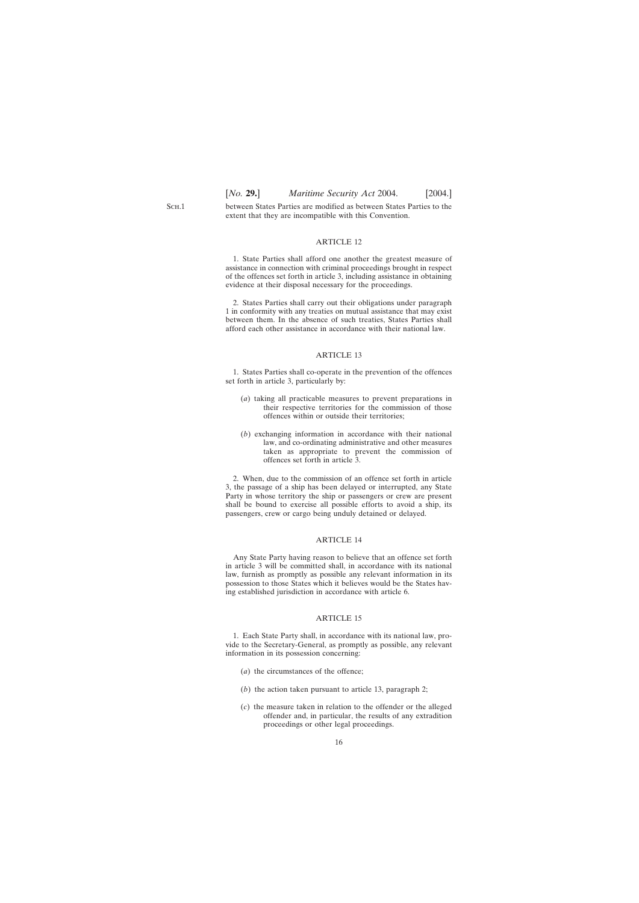SCH.1

between States Parties are modified as between States Parties to the extent that they are incompatible with this Convention.

# ARTICLE 12

1. State Parties shall afford one another the greatest measure of assistance in connection with criminal proceedings brought in respect of the offences set forth in article 3, including assistance in obtaining evidence at their disposal necessary for the proceedings.

2. States Parties shall carry out their obligations under paragraph 1 in conformity with any treaties on mutual assistance that may exist between them. In the absence of such treaties, States Parties shall afford each other assistance in accordance with their national law.

# ARTICLE 13

1. States Parties shall co-operate in the prevention of the offences set forth in article 3, particularly by:

- (*a*) taking all practicable measures to prevent preparations in their respective territories for the commission of those offences within or outside their territories;
- (*b*) exchanging information in accordance with their national law, and co-ordinating administrative and other measures taken as appropriate to prevent the commission of offences set forth in article 3.

2. When, due to the commission of an offence set forth in article 3, the passage of a ship has been delayed or interrupted, any State Party in whose territory the ship or passengers or crew are present shall be bound to exercise all possible efforts to avoid a ship, its passengers, crew or cargo being unduly detained or delayed.

#### ARTICLE 14

Any State Party having reason to believe that an offence set forth in article 3 will be committed shall, in accordance with its national law, furnish as promptly as possible any relevant information in its possession to those States which it believes would be the States having established jurisdiction in accordance with article 6.

# ARTICLE 15

1. Each State Party shall, in accordance with its national law, provide to the Secretary-General, as promptly as possible, any relevant information in its possession concerning:

- (*a*) the circumstances of the offence;
- (*b*) the action taken pursuant to article 13, paragraph 2;
- (*c*) the measure taken in relation to the offender or the alleged offender and, in particular, the results of any extradition proceedings or other legal proceedings.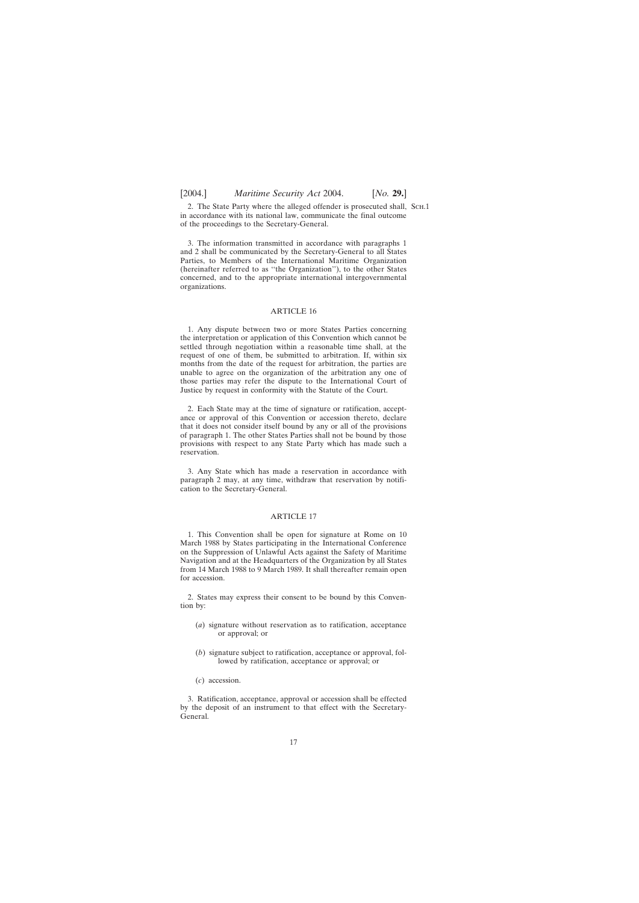2. The State Party where the alleged offender is prosecuted shall, SCH.1 in accordance with its national law, communicate the final outcome of the proceedings to the Secretary-General.

3. The information transmitted in accordance with paragraphs 1 and 2 shall be communicated by the Secretary-General to all States Parties, to Members of the International Maritime Organization (hereinafter referred to as ''the Organization''), to the other States concerned, and to the appropriate international intergovernmental organizations.

# ARTICLE 16

1. Any dispute between two or more States Parties concerning the interpretation or application of this Convention which cannot be settled through negotiation within a reasonable time shall, at the request of one of them, be submitted to arbitration. If, within six months from the date of the request for arbitration, the parties are unable to agree on the organization of the arbitration any one of those parties may refer the dispute to the International Court of Justice by request in conformity with the Statute of the Court.

2. Each State may at the time of signature or ratification, acceptance or approval of this Convention or accession thereto, declare that it does not consider itself bound by any or all of the provisions of paragraph 1. The other States Parties shall not be bound by those provisions with respect to any State Party which has made such a reservation.

3. Any State which has made a reservation in accordance with paragraph 2 may, at any time, withdraw that reservation by notification to the Secretary-General.

#### ARTICLE 17

1. This Convention shall be open for signature at Rome on 10 March 1988 by States participating in the International Conference on the Suppression of Unlawful Acts against the Safety of Maritime Navigation and at the Headquarters of the Organization by all States from 14 March 1988 to 9 March 1989. It shall thereafter remain open for accession.

2. States may express their consent to be bound by this Convention by:

- (*a*) signature without reservation as to ratification, acceptance or approval; or
- (*b*) signature subject to ratification, acceptance or approval, followed by ratification, acceptance or approval; or
- (*c*) accession.

3. Ratification, acceptance, approval or accession shall be effected by the deposit of an instrument to that effect with the Secretary-General.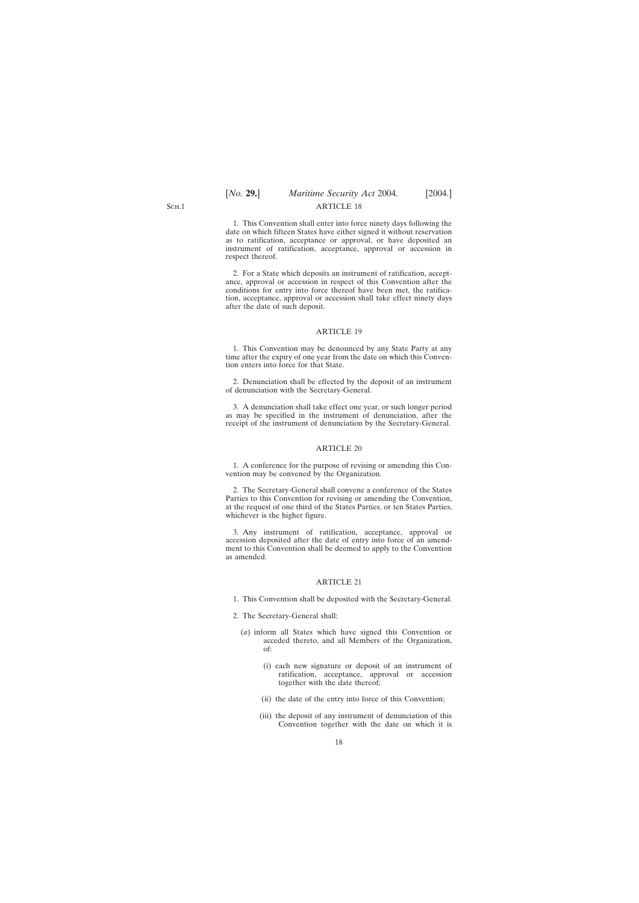1. This Convention shall enter into force ninety days following the date on which fifteen States have either signed it without reservation as to ratification, acceptance or approval, or have deposited an instrument of ratification, acceptance, approval or accession in respect thereof.

2. For a State which deposits an instrument of ratification, acceptance, approval or accession in respect of this Convention after the conditions for entry into force thereof have been met, the ratification, acceptance, approval or accession shall take effect ninety days after the date of such deposit.

# ARTICLE 19

1. This Convention may be denounced by any State Party at any time after the expiry of one year from the date on which this Convention enters into force for that State.

2. Denunciation shall be effected by the deposit of an instrument of denunciation with the Secretary-General.

3. A denunciation shall take effect one year, or such longer period as may be specified in the instrument of denunciation, after the receipt of the instrument of denunciation by the Secretary-General.

#### ARTICLE 20

1. A conference for the purpose of revising or amending this Convention may be convened by the Organization.

2. The Secretary-General shall convene a conference of the States Parties to this Convention for revising or amending the Convention, at the request of one third of the States Parties, or ten States Parties, whichever is the higher figure.

3. Any instrument of ratification, acceptance, approval or accession deposited after the date of entry into force of an amendment to this Convention shall be deemed to apply to the Convention as amended.

# ARTICLE 21

- 1. This Convention shall be deposited with the Secretary-General.
- 2. The Secretary-General shall:
	- (*a*) inform all States which have signed this Convention or acceded thereto, and all Members of the Organization, of:
		- (i) each new signature or deposit of an instrument of ratification, acceptance, approval or accession together with the date thereof;
		- (ii) the date of the entry into force of this Convention;
		- (iii) the deposit of any instrument of denunciation of this Convention together with the date on which it is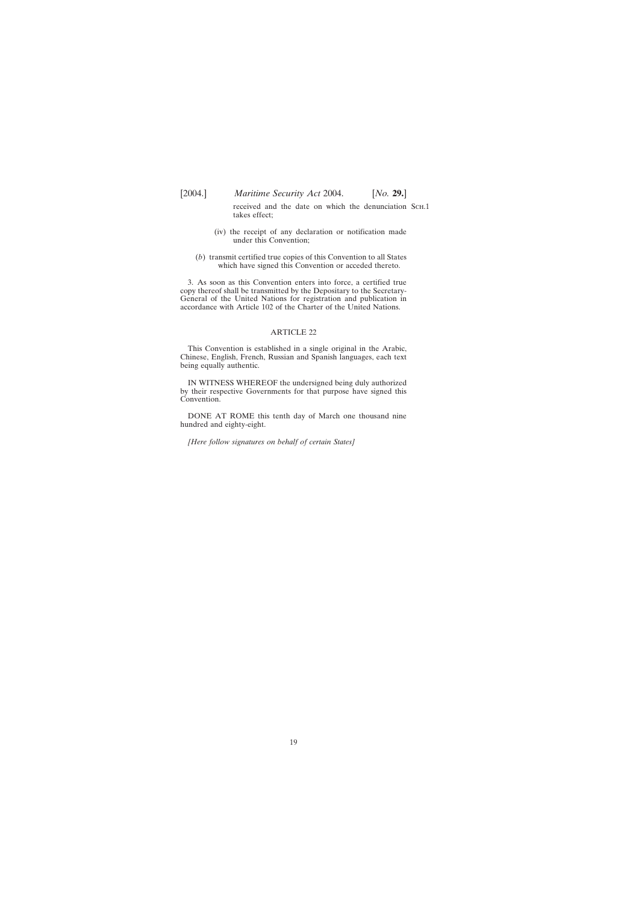received and the date on which the denunciation Sch.1 takes effect;

- (iv) the receipt of any declaration or notification made under this Convention;
- (*b*) transmit certified true copies of this Convention to all States which have signed this Convention or acceded thereto.

3. As soon as this Convention enters into force, a certified true copy thereof shall be transmitted by the Depositary to the Secretary-General of the United Nations for registration and publication in accordance with Article 102 of the Charter of the United Nations.

#### ARTICLE 22

This Convention is established in a single original in the Arabic, Chinese, English, French, Russian and Spanish languages, each text being equally authentic.

IN WITNESS WHEREOF the undersigned being duly authorized by their respective Governments for that purpose have signed this Convention.

DONE AT ROME this tenth day of March one thousand nine hundred and eighty-eight.

*[Here follow signatures on behalf of certain States]*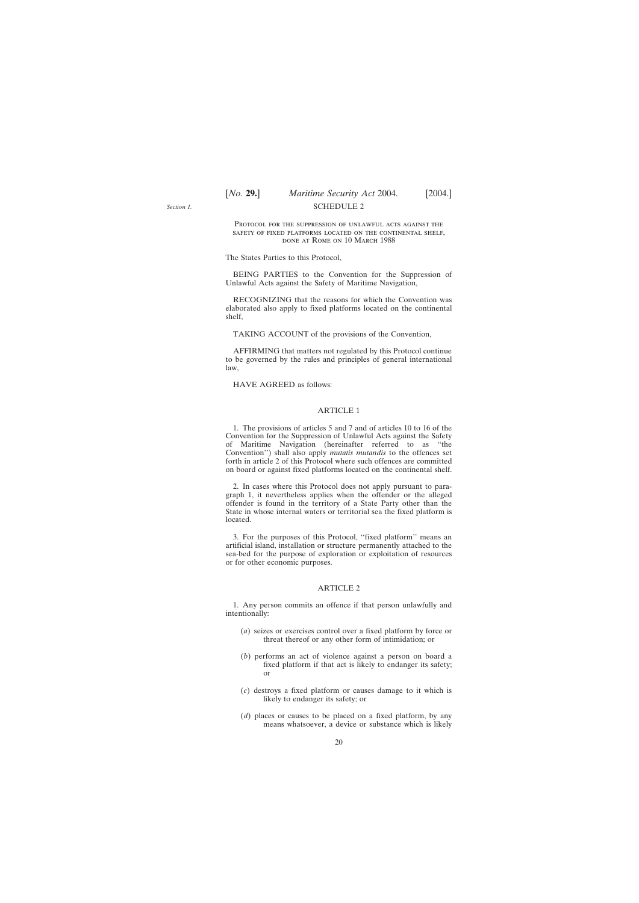<span id="page-19-0"></span>*Section 1.*

Protocol for the suppression of unlawful acts against the safety of fixed platforms located on the continental shelf, done at Rome on 10 March 1988

The States Parties to this Protocol,

BEING PARTIES to the Convention for the Suppression of Unlawful Acts against the Safety of Maritime Navigation,

RECOGNIZING that the reasons for which the Convention was elaborated also apply to fixed platforms located on the continental shelf,

TAKING ACCOUNT of the provisions of the Convention,

AFFIRMING that matters not regulated by this Protocol continue to be governed by the rules and principles of general international law,

HAVE AGREED as follows:

# ARTICLE 1

1. The provisions of articles 5 and 7 and of articles 10 to 16 of the Convention for the Suppression of Unlawful Acts against the Safety of Maritime Navigation (hereinafter referred to as ''the Convention'') shall also apply *mutatis mutandis* to the offences set forth in article 2 of this Protocol where such offences are committed on board or against fixed platforms located on the continental shelf.

2. In cases where this Protocol does not apply pursuant to paragraph 1, it nevertheless applies when the offender or the alleged offender is found in the territory of a State Party other than the State in whose internal waters or territorial sea the fixed platform is located.

3. For the purposes of this Protocol, ''fixed platform'' means an artificial island, installation or structure permanently attached to the sea-bed for the purpose of exploration or exploitation of resources or for other economic purposes.

#### ARTICLE 2

1. Any person commits an offence if that person unlawfully and intentionally:

- (*a*) seizes or exercises control over a fixed platform by force or threat thereof or any other form of intimidation; or
- (*b*) performs an act of violence against a person on board a fixed platform if that act is likely to endanger its safety; or
- (*c*) destroys a fixed platform or causes damage to it which is likely to endanger its safety; or
- (*d*) places or causes to be placed on a fixed platform, by any means whatsoever, a device or substance which is likely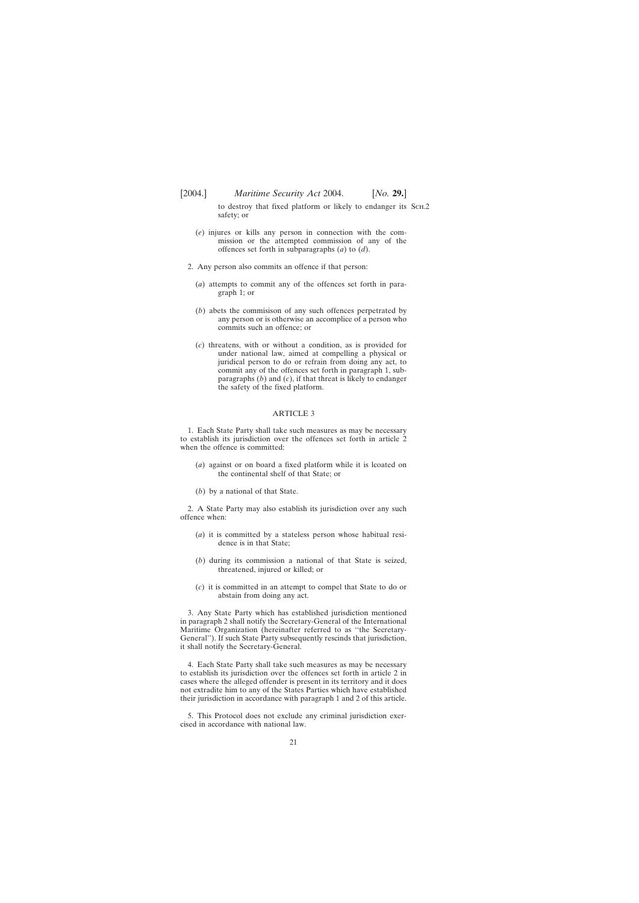to destroy that fixed platform or likely to endanger its Sch.2safety; or

- (*e*) injures or kills any person in connection with the commission or the attempted commission of any of the offences set forth in subparagraphs (*a*) to (*d*).
- 2. Any person also commits an offence if that person:
	- (*a*) attempts to commit any of the offences set forth in paragraph 1; or
	- (*b*) abets the commisison of any such offences perpetrated by any person or is otherwise an accomplice of a person who commits such an offence; or
	- (*c*) threatens, with or without a condition, as is provided for under national law, aimed at compelling a physical or juridical person to do or refrain from doing any act, to commit any of the offences set forth in paragraph 1, subparagraphs (*b*) and (*c*), if that threat is likely to endanger the safety of the fixed platform.

# ARTICLE 3

1. Each State Party shall take such measures as may be necessary to establish its jurisdiction over the offences set forth in article 2 when the offence is committed:

- (*a*) against or on board a fixed platform while it is lcoated on the continental shelf of that State; or
- (*b*) by a national of that State.

2. A State Party may also establish its jurisdiction over any such offence when:

- (*a*) it is committed by a stateless person whose habitual residence is in that State;
- (*b*) during its commission a national of that State is seized, threatened, injured or killed; or
- (*c*) it is committed in an attempt to compel that State to do or abstain from doing any act.

3. Any State Party which has established jurisdiction mentioned in paragraph 2 shall notify the Secretary-General of the International Maritime Organization (hereinafter referred to as ''the Secretary-General''). If such State Party subsequently rescinds that jurisdiction, it shall notify the Secretary-General.

4. Each State Party shall take such measures as may be necessary to establish its jurisdiction over the offences set forth in article 2 in cases where the alleged offender is present in its territory and it does not extradite him to any of the States Parties which have established their jurisdiction in accordance with paragraph 1 and 2 of this article.

5. This Protocol does not exclude any criminal jurisdiction exercised in accordance with national law.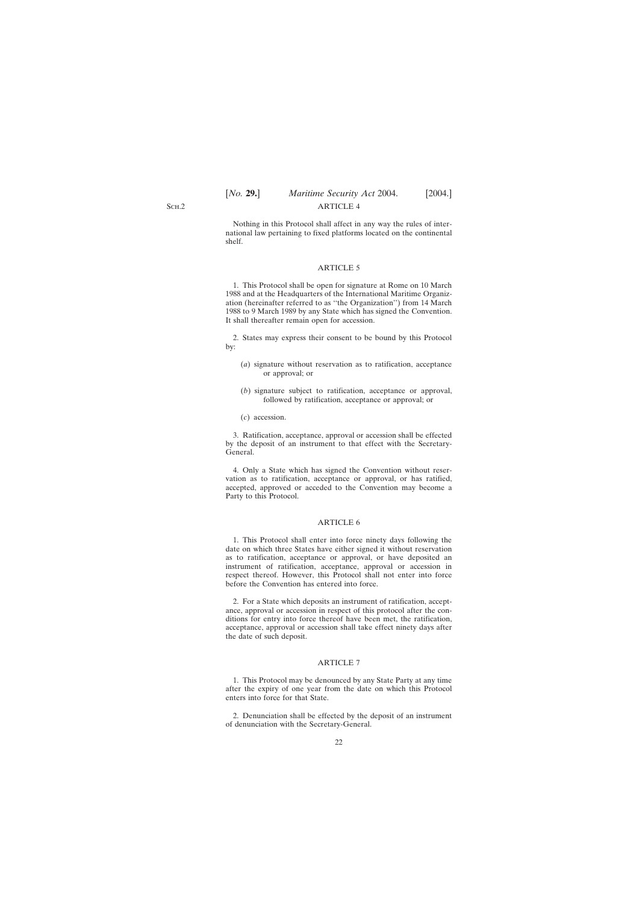SCH<sub>2</sub>

Nothing in this Protocol shall affect in any way the rules of international law pertaining to fixed platforms located on the continental shelf.

# ARTICLE 5

1. This Protocol shall be open for signature at Rome on 10 March 1988 and at the Headquarters of the International Maritime Organization (hereinafter referred to as ''the Organization'') from 14 March 1988 to 9 March 1989 by any State which has signed the Convention. It shall thereafter remain open for accession.

2. States may express their consent to be bound by this Protocol by:

- (*a*) signature without reservation as to ratification, acceptance or approval; or
- (*b*) signature subject to ratification, acceptance or approval, followed by ratification, acceptance or approval; or
- (*c*) accession.

3. Ratification, acceptance, approval or accession shall be effected by the deposit of an instrument to that effect with the Secretary-General.

4. Only a State which has signed the Convention without reservation as to ratification, acceptance or approval, or has ratified, accepted, approved or acceded to the Convention may become a Party to this Protocol.

## ARTICLE 6

1. This Protocol shall enter into force ninety days following the date on which three States have either signed it without reservation as to ratification, acceptance or approval, or have deposited an instrument of ratification, acceptance, approval or accession in respect thereof. However, this Protocol shall not enter into force before the Convention has entered into force.

2. For a State which deposits an instrument of ratification, acceptance, approval or accession in respect of this protocol after the conditions for entry into force thereof have been met, the ratification, acceptance, approval or accession shall take effect ninety days after the date of such deposit.

# ARTICLE 7

1. This Protocol may be denounced by any State Party at any time after the expiry of one year from the date on which this Protocol enters into force for that State.

2. Denunciation shall be effected by the deposit of an instrument of denunciation with the Secretary-General.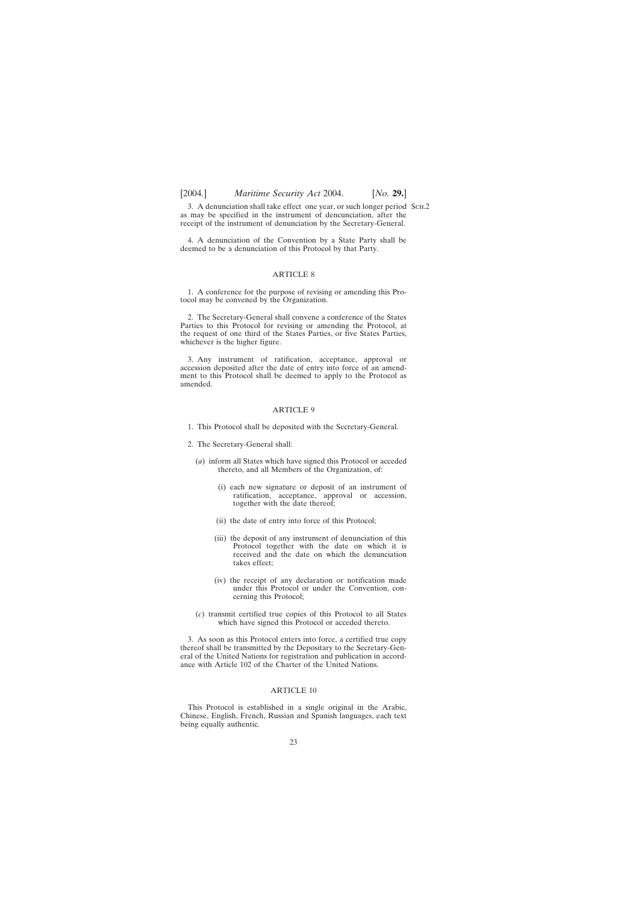3. A denunciation shall take effect one year, or such longer period Sch.2as may be specified in the instrument of dencunciation, after the receipt of the instrument of denunciation by the Secretary-General.

4. A denunciation of the Convention by a State Party shall be deemed to be a denunciation of this Protocol by that Party.

### $ARTICLE 8$

1. A conference for the purpose of revising or amending this Protocol may be convened by the Organization.

2. The Secretary-General shall convene a conference of the States Parties to this Protocol for revising or amending the Protocol, at the request of one third of the States Parties, or five States Parties, whichever is the higher figure.

3. Any instrument of ratification, acceptance, approval or accession deposited after the date of entry into force of an amendment to this Protocol shall be deemed to apply to the Protocol as amended.

#### ARTICLE 9

- 1. This Protocol shall be deposited with the Secretary-General.
- 2. The Secretary-General shall:
	- (*a*) inform all States which have signed this Protocol or acceded thereto, and all Members of the Organization, of:
		- (i) each new signature or deposit of an instrument of ratification, acceptance, approval or accession, together with the date thereof;
		- (ii) the date of entry into force of this Protocol;
		- (iii) the deposit of any instrument of denunciation of this Protocol together with the date on which it is received and the date on which the denunciation takes effect;
		- (iv) the receipt of any declaration or notification made under this Protocol or under the Convention, concerning this Protocol;
	- (*c*) transmit certified true copies of this Protocol to all States which have signed this Protocol or acceded thereto.

3. As soon as this Protocol enters into force, a certified true copy thereof shall be transmitted by the Depositary to the Secretary-General of the United Nations for registration and publication in accordance with Article 102 of the Charter of the United Nations.

# ARTICLE 10

This Protocol is established in a single original in the Arabic, Chinese, English, French, Russian and Spanish languages, each text being equally authentic.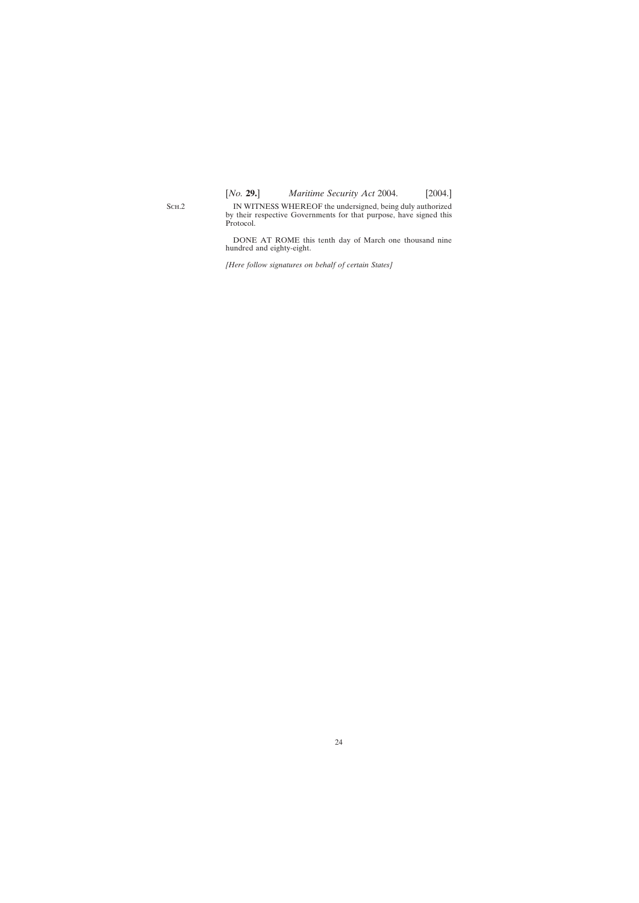[*No.* **29.**] *Maritime Security Act* 2004. [2004.]

Sch.2

IN WITNESS WHEREOF the undersigned, being duly authorized by their respective Governments for that purpose, have signed this Protocol.

DONE AT ROME this tenth day of March one thousand nine hundred and eighty-eight.

*[Here follow signatures on behalf of certain States]*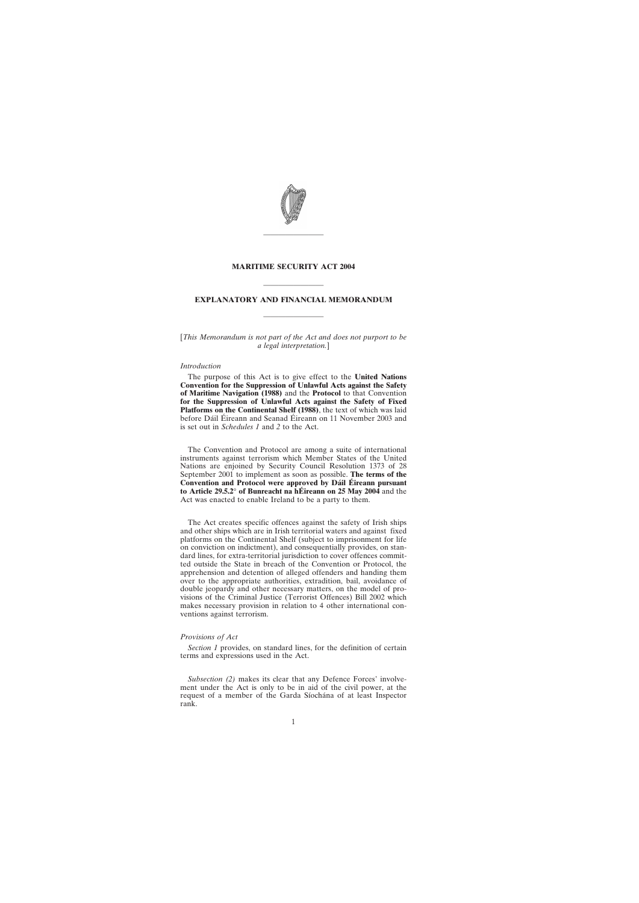

#### **MARITIME SECURITY ACT 2004**

————————

# ———————— **EXPLANATORY AND FINANCIAL MEMORANDUM**

————————

#### [*This Memorandum is not part of the Act and does not purport to be a legal interpretation.*]

#### *Introduction*

The purpose of this Act is to give effect to the **United Nations Convention for the Suppression of Unlawful Acts against the Safety of Maritime Navigation (1988)** and the **Protocol** to that Convention **for the Suppression of Unlawful Acts against the Safety of Fixed Platforms on the Continental Shelf (1988)**, the text of which was laid before Dáil Éireann and Seanad Éireann on 11 November 2003 and is set out in *Schedules 1* and *2* to the Act.

The Convention and Protocol are among a suite of international instruments against terrorism which Member States of the United Nations are enjoined by Security Council Resolution 1373 of 28 September 2001 to implement as soon as possible. **The terms of the Convention and Protocol were approved by Da´il E´ ireann pursuant to Article 29.5.2**° **of Bunreacht na hE´ ireann on 25 May 2004** and the Act was enacted to enable Ireland to be a party to them.

The Act creates specific offences against the safety of Irish ships and other ships which are in Irish territorial waters and against fixed platforms on the Continental Shelf (subject to imprisonment for life on conviction on indictment), and consequentially provides, on standard lines, for extra-territorial jurisdiction to cover offences committed outside the State in breach of the Convention or Protocol, the apprehension and detention of alleged offenders and handing them over to the appropriate authorities, extradition, bail, avoidance of double jeopardy and other necessary matters, on the model of provisions of the Criminal Justice (Terrorist Offences) Bill 2002 which makes necessary provision in relation to 4 other international conventions against terrorism.

#### *Provisions of Act*

*Section 1* provides, on standard lines, for the definition of certain terms and expressions used in the Act.

*Subsection (2)* makes its clear that any Defence Forces' involvement under the Act is only to be in aid of the civil power, at the request of a member of the Garda Síochána of at least Inspector rank.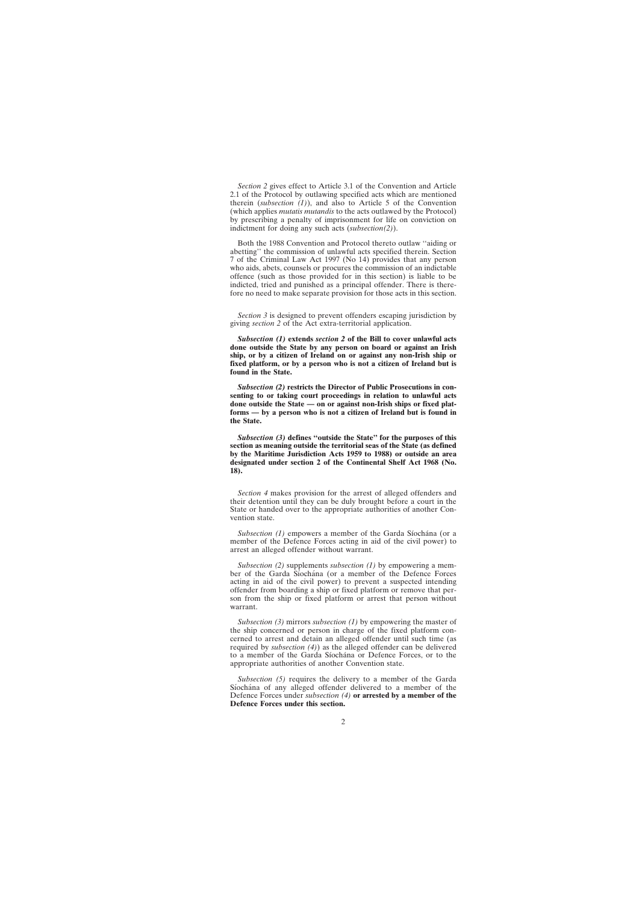*Section 2* gives effect to Article 3.1 of the Convention and Article 2.1 of the Protocol by outlawing specified acts which are mentioned therein (*subsection (1)*), and also to Article 5 of the Convention (which applies *mutatis mutandis* to the acts outlawed by the Protocol) by prescribing a penalty of imprisonment for life on conviction on indictment for doing any such acts (*subsection(2)*).

Both the 1988 Convention and Protocol thereto outlaw ''aiding or abetting'' the commission of unlawful acts specified therein. Section 7 of the Criminal Law Act 1997 (No 14) provides that any person who aids, abets, counsels or procures the commission of an indictable offence (such as those provided for in this section) is liable to be indicted, tried and punished as a principal offender. There is therefore no need to make separate provision for those acts in this section.

*Section 3* is designed to prevent offenders escaping jurisdiction by giving *section 2* of the Act extra-territorial application.

*Subsection (1)* **extends** *section 2* **of the Bill to cover unlawful acts done outside the State by any person on board or against an Irish ship, or by a citizen of Ireland on or against any non-Irish ship or fixed platform, or by a person who is not a citizen of Ireland but is found in the State.**

*Subsection (2)* **restricts the Director of Public Prosecutions in consenting to or taking court proceedings in relation to unlawful acts done outside the State — on or against non-Irish ships or fixed platforms — by a person who is not a citizen of Ireland but is found in the State.**

*Subsection (3)* **defines ''outside the State'' for the purposes of this section as meaning outside the territorial seas of the State (as defined by the Maritime Jurisdiction Acts 1959 to 1988) or outside an area designated under section 2 of the Continental Shelf Act 1968 (No. 18).**

*Section 4* makes provision for the arrest of alleged offenders and their detention until they can be duly brought before a court in the State or handed over to the appropriate authorities of another Convention state.

*Subsection (1)* empowers a member of the Garda Síochána (or a member of the Defence Forces acting in aid of the civil power) to arrest an alleged offender without warrant.

*Subsection (2)* supplements *subsection (1)* by empowering a member of the Garda Siochana (or a member of the Defence Forces acting in aid of the civil power) to prevent a suspected intending offender from boarding a ship or fixed platform or remove that person from the ship or fixed platform or arrest that person without warrant.

*Subsection (3)* mirrors *subsection (1)* by empowering the master of the ship concerned or person in charge of the fixed platform concerned to arrest and detain an alleged offender until such time (as required by *subsection (4)*) as the alleged offender can be delivered to a member of the Garda Síochána or Defence Forces, or to the appropriate authorities of another Convention state.

*Subsection (5)* requires the delivery to a member of the Garda Síochána of any alleged offender delivered to a member of the Defence Forces under *subsection (4)* **or arrested by a member of the Defence Forces under this section.**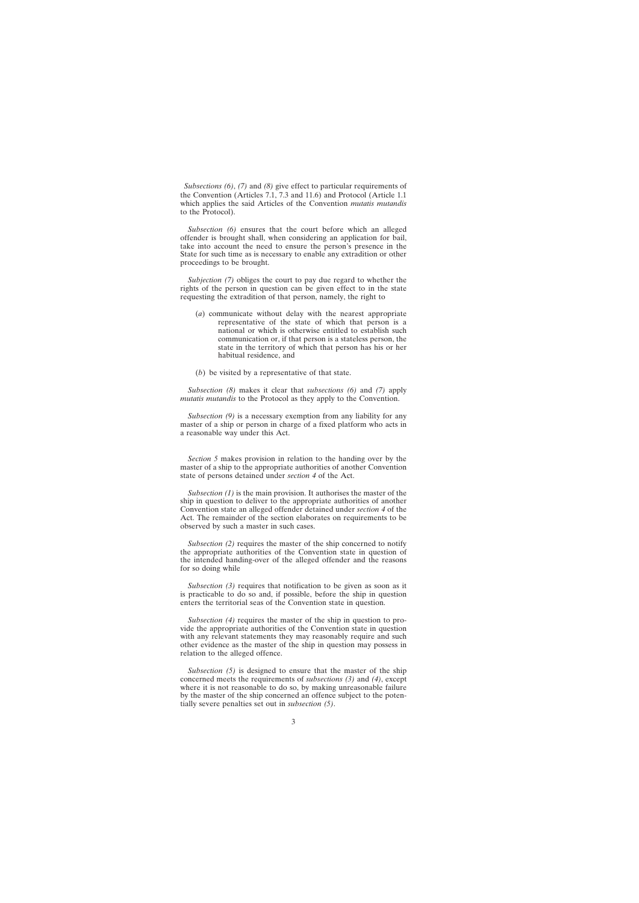*Subsections (6)*, *(7)* and *(8)* give effect to particular requirements of the Convention (Articles 7.1, 7.3 and 11.6) and Protocol (Article 1.1 which applies the said Articles of the Convention *mutatis mutandis* to the Protocol).

*Subsection (6)* ensures that the court before which an alleged offender is brought shall, when considering an application for bail, take into account the need to ensure the person's presence in the State for such time as is necessary to enable any extradition or other proceedings to be brought.

*Subjection (7)* obliges the court to pay due regard to whether the rights of the person in question can be given effect to in the state requesting the extradition of that person, namely, the right to

- (*a*) communicate without delay with the nearest appropriate representative of the state of which that person is a national or which is otherwise entitled to establish such communication or, if that person is a stateless person, the state in the territory of which that person has his or her habitual residence, and
- (*b*) be visited by a representative of that state.

*Subsection (8)* makes it clear that *subsections (6)* and *(7)* apply *mutatis mutandis* to the Protocol as they apply to the Convention.

*Subsection (9)* is a necessary exemption from any liability for any master of a ship or person in charge of a fixed platform who acts in a reasonable way under this Act.

*Section 5* makes provision in relation to the handing over by the master of a ship to the appropriate authorities of another Convention state of persons detained under *section 4* of the Act.

*Subsection (1)* is the main provision. It authorises the master of the ship in question to deliver to the appropriate authorities of another Convention state an alleged offender detained under *section 4* of the Act. The remainder of the section elaborates on requirements to be observed by such a master in such cases.

*Subsection (2)* requires the master of the ship concerned to notify the appropriate authorities of the Convention state in question of the intended handing-over of the alleged offender and the reasons for so doing while

*Subsection (3)* requires that notification to be given as soon as it is practicable to do so and, if possible, before the ship in question enters the territorial seas of the Convention state in question.

*Subsection (4)* requires the master of the ship in question to provide the appropriate authorities of the Convention state in question with any relevant statements they may reasonably require and such other evidence as the master of the ship in question may possess in relation to the alleged offence.

*Subsection (5)* is designed to ensure that the master of the ship concerned meets the requirements of *subsections (3)* and *(4)*, except where it is not reasonable to do so, by making unreasonable failure by the master of the ship concerned an offence subject to the potentially severe penalties set out in *subsection (5)*.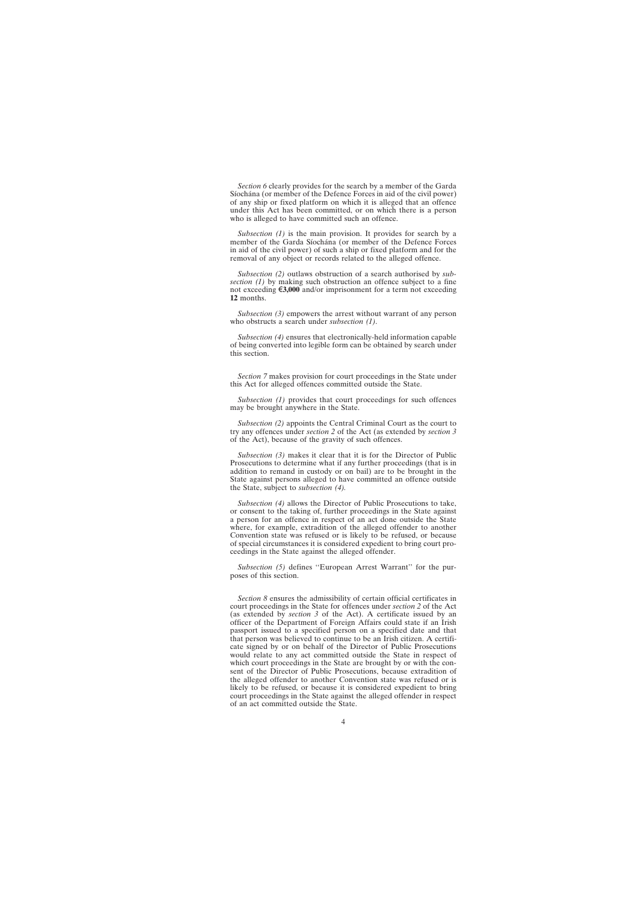*Section 6* clearly provides for the search by a member of the Garda Siochána (or member of the Defence Forces in aid of the civil power) of any ship or fixed platform on which it is alleged that an offence under this Act has been committed, or on which there is a person who is alleged to have committed such an offence.

*Subsection (1)* is the main provision. It provides for search by a member of the Garda Síochána (or member of the Defence Forces in aid of the civil power) of such a ship or fixed platform and for the removal of any object or records related to the alleged offence.

*Subsection (2)* outlaws obstruction of a search authorised by *subsection (1)* by making such obstruction an offence subject to a fine not exceeding  $\epsilon$ 3,000 and/or imprisonment for a term not exceeding **12** months.

*Subsection (3)* empowers the arrest without warrant of any person who obstructs a search under *subsection (1)*.

*Subsection (4)* ensures that electronically-held information capable of being converted into legible form can be obtained by search under this section.

*Section 7* makes provision for court proceedings in the State under this Act for alleged offences committed outside the State.

*Subsection (1)* provides that court proceedings for such offences may be brought anywhere in the State.

*Subsection (2)* appoints the Central Criminal Court as the court to try any offences under *section 2* of the Act (as extended by *section 3* of the Act), because of the gravity of such offences.

*Subsection (3)* makes it clear that it is for the Director of Public Prosecutions to determine what if any further proceedings (that is in addition to remand in custody or on bail) are to be brought in the State against persons alleged to have committed an offence outside the State, subject to *subsection (4).*

*Subsection (4)* allows the Director of Public Prosecutions to take, or consent to the taking of, further proceedings in the State against a person for an offence in respect of an act done outside the State where, for example, extradition of the alleged offender to another Convention state was refused or is likely to be refused, or because of special circumstances it is considered expedient to bring court proceedings in the State against the alleged offender.

*Subsection (5)* defines ''European Arrest Warrant'' for the purposes of this section.

*Section 8* ensures the admissibility of certain official certificates in court proceedings in the State for offences under *section 2* of the Act (as extended by *section 3* of the Act). A certificate issued by an officer of the Department of Foreign Affairs could state if an Irish passport issued to a specified person on a specified date and that that person was believed to continue to be an Irish citizen. A certificate signed by or on behalf of the Director of Public Prosecutions would relate to any act committed outside the State in respect of which court proceedings in the State are brought by or with the consent of the Director of Public Prosecutions, because extradition of the alleged offender to another Convention state was refused or is likely to be refused, or because it is considered expedient to bring court proceedings in the State against the alleged offender in respect of an act committed outside the State.